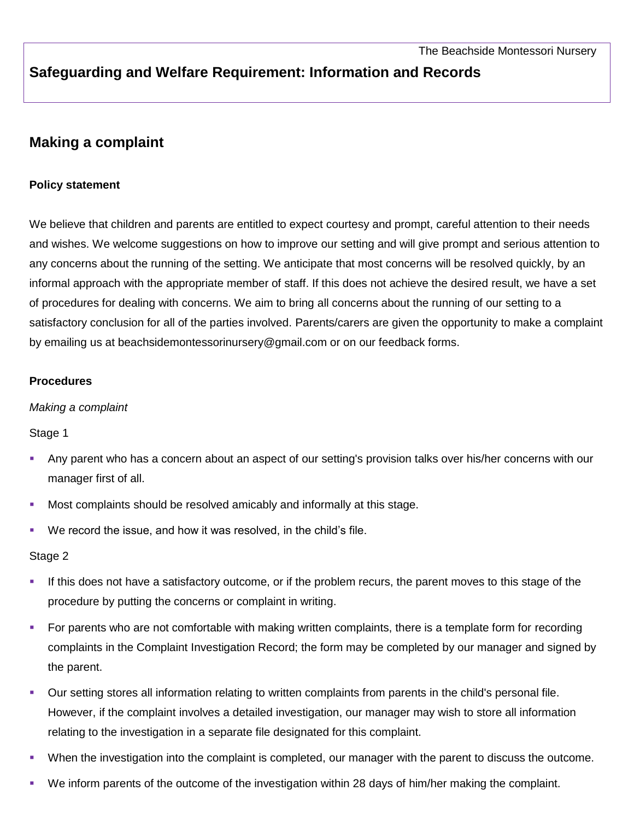# **Safeguarding and Welfare Requirement: Information and Records**

## **Making a complaint**

## **Policy statement**

We believe that children and parents are entitled to expect courtesy and prompt, careful attention to their needs and wishes. We welcome suggestions on how to improve our setting and will give prompt and serious attention to any concerns about the running of the setting. We anticipate that most concerns will be resolved quickly, by an informal approach with the appropriate member of staff. If this does not achieve the desired result, we have a set of procedures for dealing with concerns. We aim to bring all concerns about the running of our setting to a satisfactory conclusion for all of the parties involved. Parents/carers are given the opportunity to make a complaint by emailing us at beachsidemontessorinursery@gmail.com or on our feedback forms.

#### **Procedures**

#### *Making a complaint*

Stage 1

- Any parent who has a concern about an aspect of our setting's provision talks over his/her concerns with our manager first of all.
- **Most complaints should be resolved amicably and informally at this stage.**
- We record the issue, and how it was resolved, in the child's file.

#### Stage 2

- If this does not have a satisfactory outcome, or if the problem recurs, the parent moves to this stage of the procedure by putting the concerns or complaint in writing.
- For parents who are not comfortable with making written complaints, there is a template form for recording complaints in the Complaint Investigation Record; the form may be completed by our manager and signed by the parent.
- Our setting stores all information relating to written complaints from parents in the child's personal file. However, if the complaint involves a detailed investigation, our manager may wish to store all information relating to the investigation in a separate file designated for this complaint.
- When the investigation into the complaint is completed, our manager with the parent to discuss the outcome.
- We inform parents of the outcome of the investigation within 28 days of him/her making the complaint.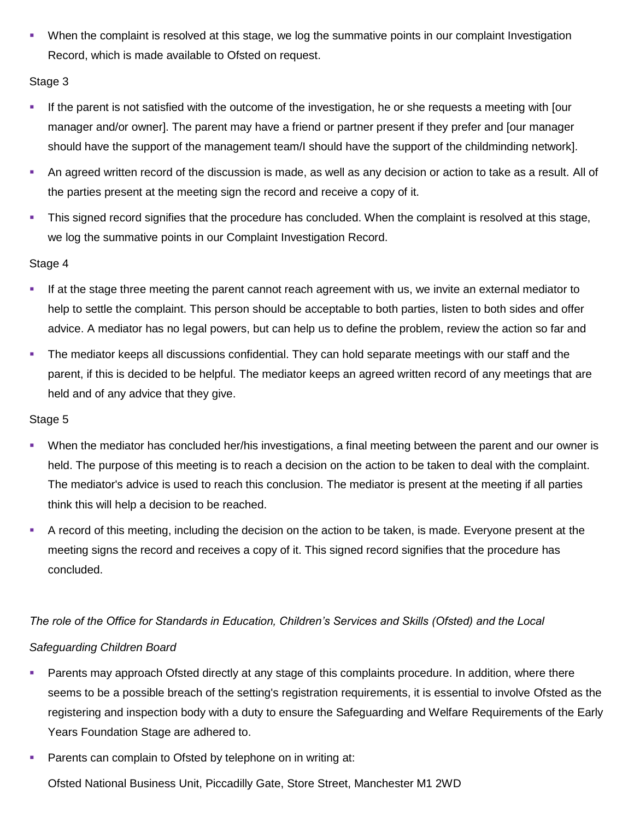When the complaint is resolved at this stage, we log the summative points in our complaint Investigation Record, which is made available to Ofsted on request.

## Stage 3

- If the parent is not satisfied with the outcome of the investigation, he or she requests a meeting with [our manager and/or owner]. The parent may have a friend or partner present if they prefer and [our manager should have the support of the management team/I should have the support of the childminding network].
- An agreed written record of the discussion is made, as well as any decision or action to take as a result. All of the parties present at the meeting sign the record and receive a copy of it.
- This signed record signifies that the procedure has concluded. When the complaint is resolved at this stage, we log the summative points in our Complaint Investigation Record.

#### Stage 4

- If at the stage three meeting the parent cannot reach agreement with us, we invite an external mediator to help to settle the complaint. This person should be acceptable to both parties, listen to both sides and offer advice. A mediator has no legal powers, but can help us to define the problem, review the action so far and
- **The mediator keeps all discussions confidential. They can hold separate meetings with our staff and the** parent, if this is decided to be helpful. The mediator keeps an agreed written record of any meetings that are held and of any advice that they give.

#### Stage 5

- When the mediator has concluded her/his investigations, a final meeting between the parent and our owner is held. The purpose of this meeting is to reach a decision on the action to be taken to deal with the complaint. The mediator's advice is used to reach this conclusion. The mediator is present at the meeting if all parties think this will help a decision to be reached.
- A record of this meeting, including the decision on the action to be taken, is made. Everyone present at the meeting signs the record and receives a copy of it. This signed record signifies that the procedure has concluded.

## *The role of the Office for Standards in Education, Children's Services and Skills (Ofsted) and the Local*

## *Safeguarding Children Board*

- **Parents may approach Ofsted directly at any stage of this complaints procedure. In addition, where there** seems to be a possible breach of the setting's registration requirements, it is essential to involve Ofsted as the registering and inspection body with a duty to ensure the Safeguarding and Welfare Requirements of the Early Years Foundation Stage are adhered to.
- **Parents can complain to Ofsted by telephone on in writing at:**

Ofsted National Business Unit, Piccadilly Gate, Store Street, Manchester M1 2WD